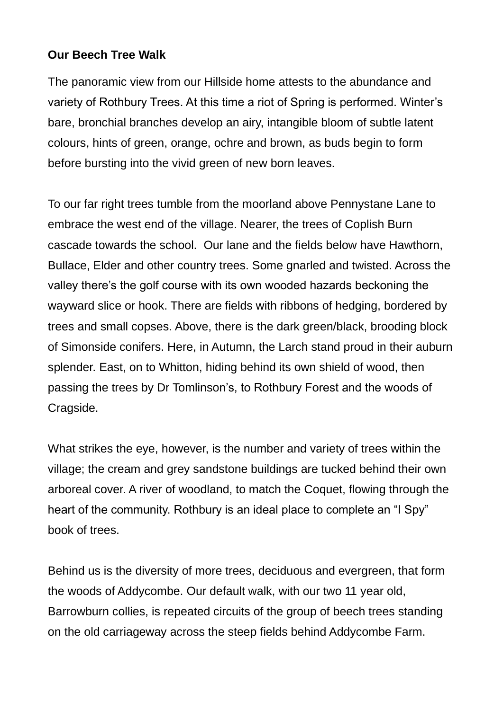## **Our Beech Tree Walk**

The panoramic view from our Hillside home attests to the abundance and variety of Rothbury Trees. At this time a riot of Spring is performed. Winter's bare, bronchial branches develop an airy, intangible bloom of subtle latent colours, hints of green, orange, ochre and brown, as buds begin to form before bursting into the vivid green of new born leaves.

To our far right trees tumble from the moorland above Pennystane Lane to embrace the west end of the village. Nearer, the trees of Coplish Burn cascade towards the school. Our lane and the fields below have Hawthorn, Bullace, Elder and other country trees. Some gnarled and twisted. Across the valley there's the golf course with its own wooded hazards beckoning the wayward slice or hook. There are fields with ribbons of hedging, bordered by trees and small copses. Above, there is the dark green/black, brooding block of Simonside conifers. Here, in Autumn, the Larch stand proud in their auburn splender. East, on to Whitton, hiding behind its own shield of wood, then passing the trees by Dr Tomlinson's, to Rothbury Forest and the woods of Cragside.

What strikes the eye, however, is the number and variety of trees within the village; the cream and grey sandstone buildings are tucked behind their own arboreal cover. A river of woodland, to match the Coquet, flowing through the heart of the community. Rothbury is an ideal place to complete an "I Spy" book of trees.

Behind us is the diversity of more trees, deciduous and evergreen, that form the woods of Addycombe. Our default walk, with our two 11 year old, Barrowburn collies, is repeated circuits of the group of beech trees standing on the old carriageway across the steep fields behind Addycombe Farm.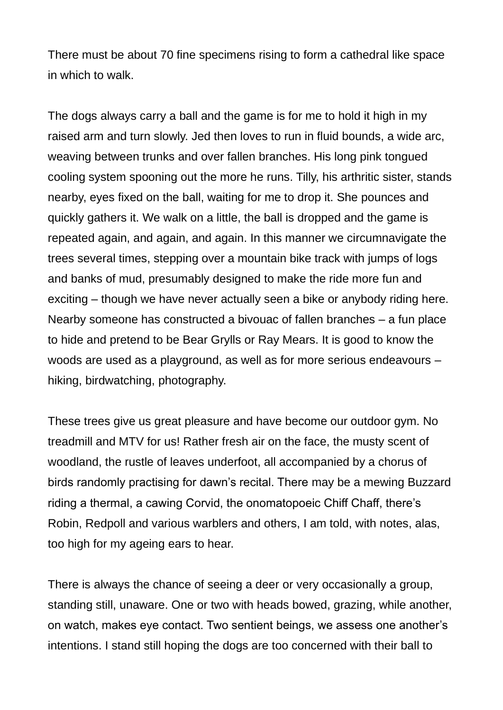There must be about 70 fine specimens rising to form a cathedral like space in which to walk.

The dogs always carry a ball and the game is for me to hold it high in my raised arm and turn slowly. Jed then loves to run in fluid bounds, a wide arc, weaving between trunks and over fallen branches. His long pink tongued cooling system spooning out the more he runs. Tilly, his arthritic sister, stands nearby, eyes fixed on the ball, waiting for me to drop it. She pounces and quickly gathers it. We walk on a little, the ball is dropped and the game is repeated again, and again, and again. In this manner we circumnavigate the trees several times, stepping over a mountain bike track with jumps of logs and banks of mud, presumably designed to make the ride more fun and exciting – though we have never actually seen a bike or anybody riding here. Nearby someone has constructed a bivouac of fallen branches – a fun place to hide and pretend to be Bear Grylls or Ray Mears. It is good to know the woods are used as a playground, as well as for more serious endeavours – hiking, birdwatching, photography.

These trees give us great pleasure and have become our outdoor gym. No treadmill and MTV for us! Rather fresh air on the face, the musty scent of woodland, the rustle of leaves underfoot, all accompanied by a chorus of birds randomly practising for dawn's recital. There may be a mewing Buzzard riding a thermal, a cawing Corvid, the onomatopoeic Chiff Chaff, there's Robin, Redpoll and various warblers and others, I am told, with notes, alas, too high for my ageing ears to hear.

There is always the chance of seeing a deer or very occasionally a group, standing still, unaware. One or two with heads bowed, grazing, while another, on watch, makes eye contact. Two sentient beings, we assess one another's intentions. I stand still hoping the dogs are too concerned with their ball to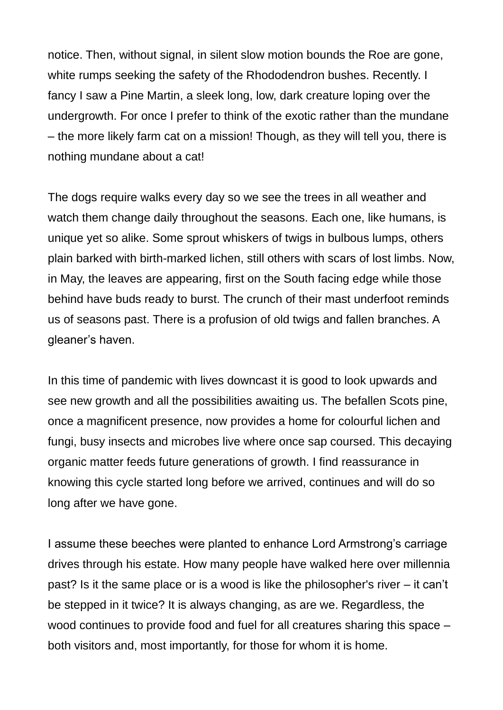notice. Then, without signal, in silent slow motion bounds the Roe are gone, white rumps seeking the safety of the Rhododendron bushes. Recently. I fancy I saw a Pine Martin, a sleek long, low, dark creature loping over the undergrowth. For once I prefer to think of the exotic rather than the mundane – the more likely farm cat on a mission! Though, as they will tell you, there is nothing mundane about a cat!

The dogs require walks every day so we see the trees in all weather and watch them change daily throughout the seasons. Each one, like humans, is unique yet so alike. Some sprout whiskers of twigs in bulbous lumps, others plain barked with birth-marked lichen, still others with scars of lost limbs. Now, in May, the leaves are appearing, first on the South facing edge while those behind have buds ready to burst. The crunch of their mast underfoot reminds us of seasons past. There is a profusion of old twigs and fallen branches. A gleaner's haven.

In this time of pandemic with lives downcast it is good to look upwards and see new growth and all the possibilities awaiting us. The befallen Scots pine, once a magnificent presence, now provides a home for colourful lichen and fungi, busy insects and microbes live where once sap coursed. This decaying organic matter feeds future generations of growth. I find reassurance in knowing this cycle started long before we arrived, continues and will do so long after we have gone.

I assume these beeches were planted to enhance Lord Armstrong's carriage drives through his estate. How many people have walked here over millennia past? Is it the same place or is a wood is like the philosopher's river – it can't be stepped in it twice? It is always changing, as are we. Regardless, the wood continues to provide food and fuel for all creatures sharing this space – both visitors and, most importantly, for those for whom it is home.